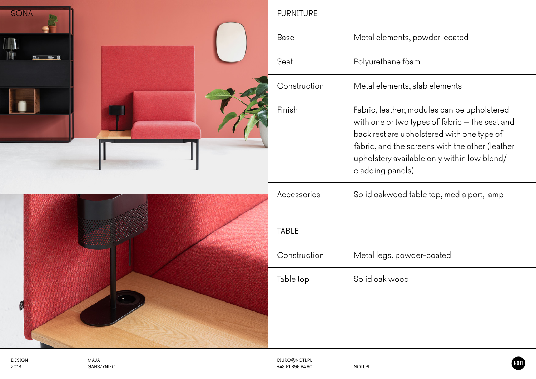| <b>SONA</b>           |                    | <b>FURNITURE</b>                         |                                                                                                                                                                                                                                                                   |  |  |
|-----------------------|--------------------|------------------------------------------|-------------------------------------------------------------------------------------------------------------------------------------------------------------------------------------------------------------------------------------------------------------------|--|--|
|                       |                    | Base                                     | Metal elements, powder-coated                                                                                                                                                                                                                                     |  |  |
|                       |                    | Seat                                     | Polyurethane foam                                                                                                                                                                                                                                                 |  |  |
|                       |                    | Construction                             | Metal elements, slab elements                                                                                                                                                                                                                                     |  |  |
|                       |                    | Finish                                   | Fabric, leather; modules can be upholstered<br>with one or two types of fabric - the seat and<br>back rest are upholstered with one type of<br>fabric, and the screens with the other (leather<br>upholstery available only within low blend/<br>cladding panels) |  |  |
|                       |                    | Accessories                              | Solid oakwood table top, media port, lamp                                                                                                                                                                                                                         |  |  |
|                       |                    | TABLE                                    |                                                                                                                                                                                                                                                                   |  |  |
|                       |                    | Construction                             | Metal legs, powder-coated                                                                                                                                                                                                                                         |  |  |
| Ø                     |                    | Table top                                | Solid oak wood                                                                                                                                                                                                                                                    |  |  |
| <b>DESIGN</b><br>2019 | MAJA<br>GANSZYNIEC | <b>BIURO@NOTI.PL</b><br>+48 61 896 64 80 | NOTI <sup>'</sup><br>NOTI.PL                                                                                                                                                                                                                                      |  |  |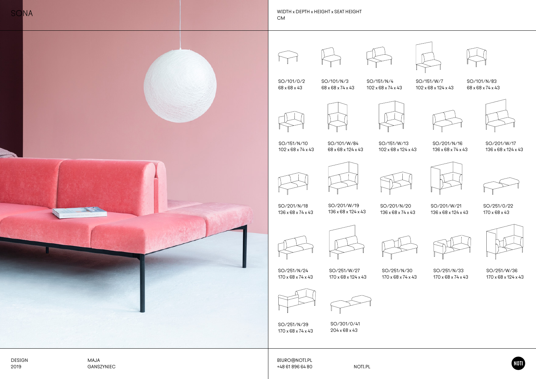|                       |                    | SO/101/0/2<br>68 x 68 x 43        | SO/101/N/3<br>68 x 68 x 74 x 43    | SO/151/N/4<br>102 x 68 x 74 x 43  | SO/151/W/7<br>102 x 68 x 124 x 43  | SO/101/N/83<br>68 x 68 x 74 x 43         |
|-----------------------|--------------------|-----------------------------------|------------------------------------|-----------------------------------|------------------------------------|------------------------------------------|
|                       |                    | SO/151/N/10                       | SO/101/W/84                        | SO/151/W/13                       | SO/201/N/16                        | SO/201/W/17                              |
|                       |                    | 102 x 68 x 74 x 43                | 68 x 68 x 124 x 43                 | 102 x 68 x 124 x 43               | 136 x 68 x 74 x 43                 | 136 x 68 x 124 x 43                      |
|                       |                    |                                   |                                    |                                   |                                    |                                          |
|                       |                    | SO/201/N/18<br>136 x 68 x 74 x 43 | SO/201/W/19<br>136 x 68 x 124 x 43 | SO/201/N/20<br>136 x 68 x 74 x 43 | SO/201/W/21<br>136 x 68 x 124 x 43 | SO/251/0/22<br>$170 \times 68 \times 43$ |
|                       |                    | SO/251/N/24                       | SO/251/W/27                        | SO/251/N/30                       | SO/251/N/33                        | SO/251/W/36                              |
|                       |                    | 170 x 68 x 74 x 43                | 170 x 68 x 124 x 43                | 170 x 68 x 74 x 43                | 170 x 68 x 74 x 43                 | 170 x 68 x 124 x 43                      |
|                       |                    |                                   |                                    |                                   |                                    |                                          |
|                       |                    | SO/251/N/39<br>170 x 68 x 74 x 43 | SO/301/0/41<br>204 x 68 x 43       |                                   |                                    |                                          |
|                       |                    |                                   |                                    |                                   |                                    |                                          |
| <b>DESIGN</b><br>2019 | MAJA<br>GANSZYNIEC | BIURO@NOTI.PL<br>+48 61 896 64 80 | NOTI.PL                            |                                   |                                    | <b>IOD</b>                               |